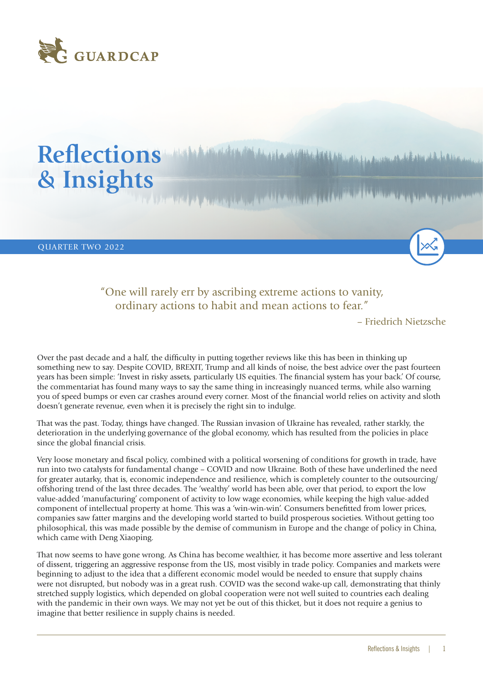

# **Reflections**  بالمقامة المؤرخ بالمنافس المتوافق والمتعارض والمتعارض والمتعارض والمتعارف والمتعارض والمتعارض والمتعارض والمتعارض **& Insights**

QUARTER TWO 2022

## "One will rarely err by ascribing extreme actions to vanity, ordinary actions to habit and mean actions to fear."

– Friedrich Nietzsche

Over the past decade and a half, the difficulty in putting together reviews like this has been in thinking up something new to say. Despite COVID, BREXIT, Trump and all kinds of noise, the best advice over the past fourteen years has been simple: 'Invest in risky assets, particularly US equities. The financial system has your back.' Of course, the commentariat has found many ways to say the same thing in increasingly nuanced terms, while also warning you of speed bumps or even car crashes around every corner. Most of the financial world relies on activity and sloth doesn't generate revenue, even when it is precisely the right sin to indulge.

That was the past. Today, things have changed. The Russian invasion of Ukraine has revealed, rather starkly, the deterioration in the underlying governance of the global economy, which has resulted from the policies in place since the global financial crisis.

Very loose monetary and fiscal policy, combined with a political worsening of conditions for growth in trade, have run into two catalysts for fundamental change – COVID and now Ukraine. Both of these have underlined the need for greater autarky, that is, economic independence and resilience, which is completely counter to the outsourcing/ offshoring trend of the last three decades. The 'wealthy' world has been able, over that period, to export the low value-added 'manufacturing' component of activity to low wage economies, while keeping the high value-added component of intellectual property at home. This was a 'win-win-win'. Consumers benefitted from lower prices, companies saw fatter margins and the developing world started to build prosperous societies. Without getting too philosophical, this was made possible by the demise of communism in Europe and the change of policy in China, which came with Deng Xiaoping.

That now seems to have gone wrong. As China has become wealthier, it has become more assertive and less tolerant of dissent, triggering an aggressive response from the US, most visibly in trade policy. Companies and markets were beginning to adjust to the idea that a different economic model would be needed to ensure that supply chains were not disrupted, but nobody was in a great rush. COVID was the second wake-up call, demonstrating that thinly stretched supply logistics, which depended on global cooperation were not well suited to countries each dealing with the pandemic in their own ways. We may not yet be out of this thicket, but it does not require a genius to imagine that better resilience in supply chains is needed.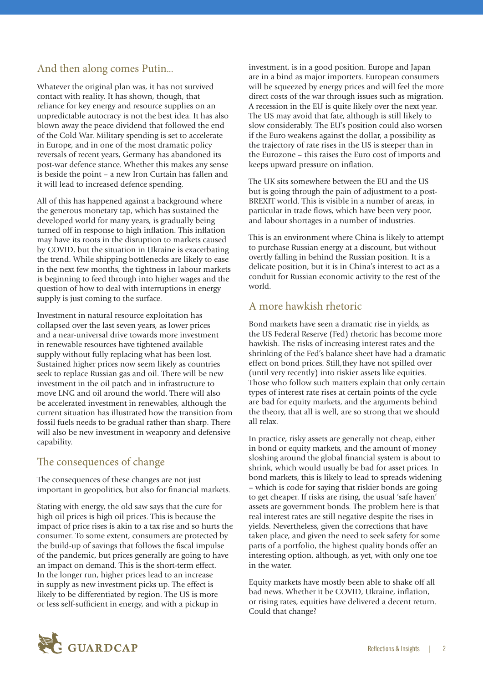# And then along comes Putin...

Whatever the original plan was, it has not survived contact with reality. It has shown, though, that reliance for key energy and resource supplies on an unpredictable autocracy is not the best idea. It has also blown away the peace dividend that followed the end of the Cold War. Military spending is set to accelerate in Europe, and in one of the most dramatic policy reversals of recent years, Germany has abandoned its post-war defence stance. Whether this makes any sense is beside the point – a new Iron Curtain has fallen and it will lead to increased defence spending.

All of this has happened against a background where the generous monetary tap, which has sustained the developed world for many years, is gradually being turned off in response to high inflation. This inflation may have its roots in the disruption to markets caused by COVID, but the situation in Ukraine is exacerbating the trend. While shipping bottlenecks are likely to ease in the next few months, the tightness in labour markets is beginning to feed through into higher wages and the question of how to deal with interruptions in energy supply is just coming to the surface.

Investment in natural resource exploitation has collapsed over the last seven years, as lower prices and a near-universal drive towards more investment in renewable resources have tightened available supply without fully replacing what has been lost. Sustained higher prices now seem likely as countries seek to replace Russian gas and oil. There will be new investment in the oil patch and in infrastructure to move LNG and oil around the world. There will also be accelerated investment in renewables, although the current situation has illustrated how the transition from fossil fuels needs to be gradual rather than sharp. There will also be new investment in weaponry and defensive capability.

### The consequences of change

The consequences of these changes are not just important in geopolitics, but also for financial markets.

Stating with energy, the old saw says that the cure for high oil prices is high oil prices. This is because the impact of price rises is akin to a tax rise and so hurts the consumer. To some extent, consumers are protected by the build-up of savings that follows the fiscal impulse of the pandemic, but prices generally are going to have an impact on demand. This is the short-term effect. In the longer run, higher prices lead to an increase in supply as new investment picks up. The effect is likely to be differentiated by region. The US is more or less self-sufficient in energy, and with a pickup in

investment, is in a good position. Europe and Japan are in a bind as major importers. European consumers will be squeezed by energy prices and will feel the more direct costs of the war through issues such as migration. A recession in the EU is quite likely over the next year. The US may avoid that fate, although is still likely to slow considerably. The EU's position could also worsen if the Euro weakens against the dollar, a possibility as the trajectory of rate rises in the US is steeper than in the Eurozone – this raises the Euro cost of imports and keeps upward pressure on inflation.

The UK sits somewhere between the EU and the US but is going through the pain of adjustment to a post-BREXIT world. This is visible in a number of areas, in particular in trade flows, which have been very poor, and labour shortages in a number of industries.

This is an environment where China is likely to attempt to purchase Russian energy at a discount, but without overtly falling in behind the Russian position. It is a delicate position, but it is in China's interest to act as a conduit for Russian economic activity to the rest of the world.

### A more hawkish rhetoric

Bond markets have seen a dramatic rise in yields, as the US Federal Reserve (Fed) rhetoric has become more hawkish. The risks of increasing interest rates and the shrinking of the Fed's balance sheet have had a dramatic effect on bond prices. Still,they have not spilled over (until very recently) into riskier assets like equities. Those who follow such matters explain that only certain types of interest rate rises at certain points of the cycle are bad for equity markets, and the arguments behind the theory, that all is well, are so strong that we should all relax.

In practice, risky assets are generally not cheap, either in bond or equity markets, and the amount of money sloshing around the global financial system is about to shrink, which would usually be bad for asset prices. In bond markets, this is likely to lead to spreads widening – which is code for saying that riskier bonds are going to get cheaper. If risks are rising, the usual 'safe haven' assets are government bonds. The problem here is that real interest rates are still negative despite the rises in yields. Nevertheless, given the corrections that have taken place, and given the need to seek safety for some parts of a portfolio, the highest quality bonds offer an interesting option, although, as yet, with only one toe in the water.

Equity markets have mostly been able to shake off all bad news. Whether it be COVID, Ukraine, inflation, or rising rates, equities have delivered a decent return. Could that change?